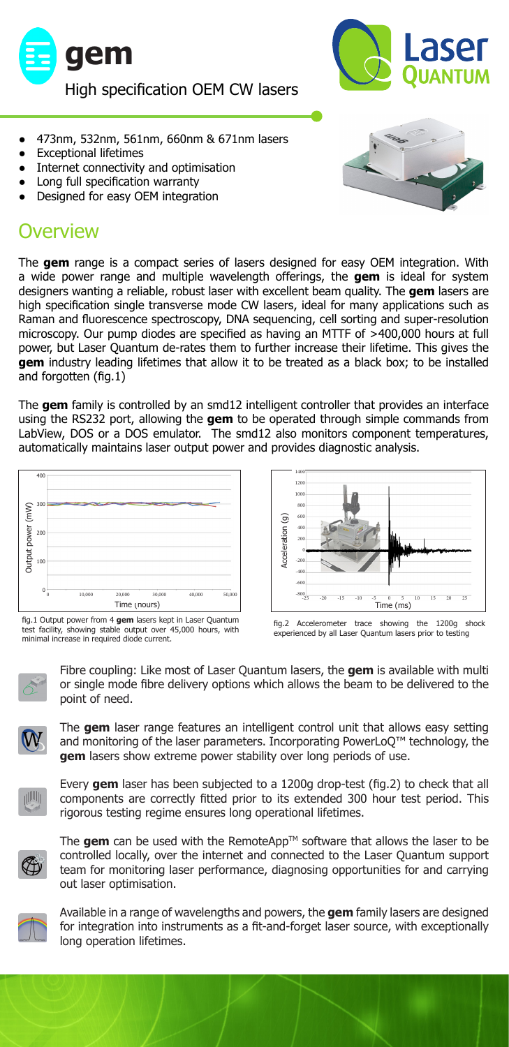



- 473nm, 532nm, 561nm, 660nm & 671nm lasers
- **Exceptional lifetimes**
- Internet connectivity and optimisation
- Long full specification warranty
- Designed for easy OEM integration

## **Overview**

The **gem** range is a compact series of lasers designed for easy OEM integration. With a wide power range and multiple wavelength offerings, the **gem** is ideal for system designers wanting a reliable, robust laser with excellent beam quality. The **gem** lasers are high specification single transverse mode CW lasers, ideal for many applications such as Raman and fluorescence spectroscopy, DNA sequencing, cell sorting and super-resolution microscopy. Our pump diodes are specified as having an MTTF of >400,000 hours at full power, but Laser Quantum de-rates them to further increase their lifetime. This gives the **gem** industry leading lifetimes that allow it to be treated as a black box; to be installed and forgotten (fig.1)

The **gem** family is controlled by an smd12 intelligent controller that provides an interface using the RS232 port, allowing the **gem** to be operated through simple commands from LabView, DOS or a DOS emulator. The smd12 also monitors component temperatures, automatically maintains laser output power and provides diagnostic analysis.







fig.2 Accelerometer trace showing the 1200g shock experienced by all Laser Quantum lasers prior to testing



Fibre coupling: Like most of Laser Quantum lasers, the **gem** is available with multi or single mode fibre delivery options which allows the beam to be delivered to the point of need.



The **gem** laser range features an intelligent control unit that allows easy setting and monitoring of the laser parameters. Incorporating PowerLoQ™ technology, the **gem** lasers show extreme power stability over long periods of use.



Every **gem** laser has been subjected to a 1200g drop-test (fig.2) to check that all components are correctly fitted prior to its extended 300 hour test period. This rigorous testing regime ensures long operational lifetimes.



The **gem** can be used with the RemoteApp<sup>TM</sup> software that allows the laser to be controlled locally, over the internet and connected to the Laser Quantum support team for monitoring laser performance, diagnosing opportunities for and carrying out laser optimisation.



Available in a range of wavelengths and powers, the **gem** family lasers are designed for integration into instruments as a fit-and-forget laser source, with exceptionally long operation lifetimes.